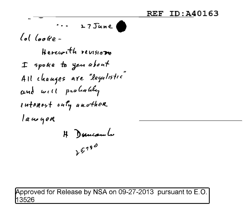$\cdots$  27 June  $\int_{\mathcal{C}} d$   $\int_{\mathcal{C}} d\rho$ 

Horcesth revision I spoke to you about All changes are "legalistic" and will probably intenest only another lawyer H Duncam L  $25990$ 

Approved for Release by NSA on 09-27-2013 pursuant to E.O. 3526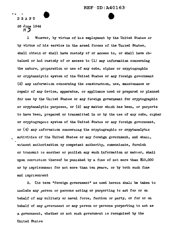$REF$ - $ID: A40163$ -• •

DRAFT 26 June 1944 H .J

.....

l Whoever, by virtue of his employment by the United States or by virtue of his service in the armed forces of the United States, shall obtain or shall have custody of or access to, or shall have obtained or had custody of or access to  $(1)$  any information concerning the nature, preparation or use of any code, cipher or cryptographic or cryptanalytic system of the United States or any foreign government  $(2)$  any information concerning the construction, use, maintenance or repair of any device, apparatus, or appliance used or prepared or planned for use by the United States or any foreign government for cryptographic or cryptanalytic purposes, or  $(3)$  any matter which has been, or purports to have been, prepared or transmitted in or by the use of any code, cipher or cryptographic system of the United States or any foreign government, or  $(4)$  any information concerning the cryptographic or cryptanalytic activities of the United States or any foreign government, and shall, witnout authorization Dy competent authority, communicate, furnish or transmit to another or publish any such information or matter, shall upon conviction thereof be punished by a fine of not more than \$10,000 or by imprisonment for not more than ten years, or by both such fine and imprisonment

2. The term "foreign government" as used herein shall be taken to include any person or persons acting or purporting to act for or on behalf of any military or naval force, faction or party, or for or on behalf of any government or any person or persons purporting to act as a government, whether or not such government is recognized by the United Stutes